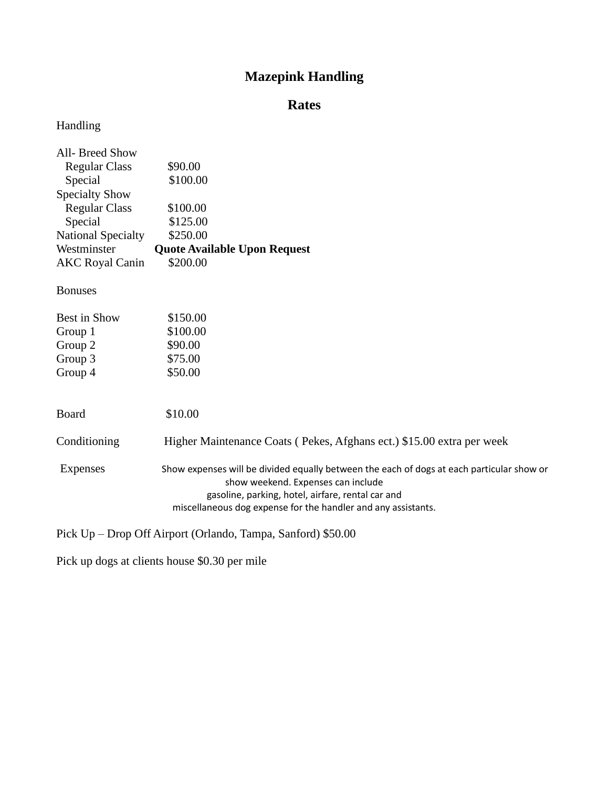# **Mazepink Handling**

# **Rates**

# Handling

| All- Breed Show           |                                     |
|---------------------------|-------------------------------------|
| <b>Regular Class</b>      | \$90.00                             |
| Special                   | \$100.00                            |
| <b>Specialty Show</b>     |                                     |
| <b>Regular Class</b>      | \$100.00                            |
| Special                   | \$125.00                            |
| <b>National Specialty</b> | \$250.00                            |
| Westminster               | <b>Quote Available Upon Request</b> |
| <b>AKC Royal Canin</b>    | \$200.00                            |
|                           |                                     |

Bonuses

| Best in Show    | \$150.00                                                                                                                                                                                                                                              |
|-----------------|-------------------------------------------------------------------------------------------------------------------------------------------------------------------------------------------------------------------------------------------------------|
| Group 1         | \$100.00                                                                                                                                                                                                                                              |
| Group 2         | \$90.00                                                                                                                                                                                                                                               |
| Group 3         | \$75.00                                                                                                                                                                                                                                               |
| Group 4         | \$50.00                                                                                                                                                                                                                                               |
| Board           | \$10.00                                                                                                                                                                                                                                               |
| Conditioning    | Higher Maintenance Coats (Pekes, Afghans ect.) \$15.00 extra per week                                                                                                                                                                                 |
| <b>Expenses</b> | Show expenses will be divided equally between the each of dogs at each particular show or<br>show weekend. Expenses can include<br>gasoline, parking, hotel, airfare, rental car and<br>miscellaneous dog expense for the handler and any assistants. |

Pick Up – Drop Off Airport (Orlando, Tampa, Sanford) \$50.00

Pick up dogs at clients house \$0.30 per mile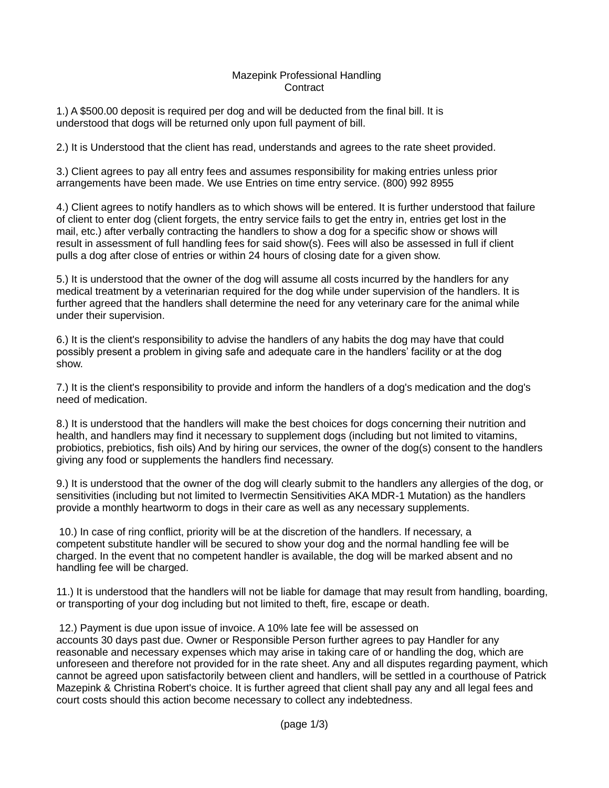#### Mazepink Professional Handling **Contract**

1.) A \$500.00 deposit is required per dog and will be deducted from the final bill. It is understood that dogs will be returned only upon full payment of bill.

2.) It is Understood that the client has read, understands and agrees to the rate sheet provided.

3.) Client agrees to pay all entry fees and assumes responsibility for making entries unless prior arrangements have been made. We use Entries on time entry service. (800) 992 8955

4.) Client agrees to notify handlers as to which shows will be entered. It is further understood that failure of client to enter dog (client forgets, the entry service fails to get the entry in, entries get lost in the mail, etc.) after verbally contracting the handlers to show a dog for a specific show or shows will result in assessment of full handling fees for said show(s). Fees will also be assessed in full if client pulls a dog after close of entries or within 24 hours of closing date for a given show.

5.) It is understood that the owner of the dog will assume all costs incurred by the handlers for any medical treatment by a veterinarian required for the dog while under supervision of the handlers. It is further agreed that the handlers shall determine the need for any veterinary care for the animal while under their supervision.

6.) It is the client's responsibility to advise the handlers of any habits the dog may have that could possibly present a problem in giving safe and adequate care in the handlers' facility or at the dog show.

7.) It is the client's responsibility to provide and inform the handlers of a dog's medication and the dog's need of medication.

8.) It is understood that the handlers will make the best choices for dogs concerning their nutrition and health, and handlers may find it necessary to supplement dogs (including but not limited to vitamins, probiotics, prebiotics, fish oils) And by hiring our services, the owner of the dog(s) consent to the handlers giving any food or supplements the handlers find necessary.

9.) It is understood that the owner of the dog will clearly submit to the handlers any allergies of the dog, or sensitivities (including but not limited to Ivermectin Sensitivities AKA MDR-1 Mutation) as the handlers provide a monthly heartworm to dogs in their care as well as any necessary supplements.

10.) In case of ring conflict, priority will be at the discretion of the handlers. If necessary, a competent substitute handler will be secured to show your dog and the normal handling fee will be charged. In the event that no competent handler is available, the dog will be marked absent and no handling fee will be charged.

11.) It is understood that the handlers will not be liable for damage that may result from handling, boarding, or transporting of your dog including but not limited to theft, fire, escape or death.

12.) Payment is due upon issue of invoice. A 10% late fee will be assessed on

accounts 30 days past due. Owner or Responsible Person further agrees to pay Handler for any reasonable and necessary expenses which may arise in taking care of or handling the dog, which are unforeseen and therefore not provided for in the rate sheet. Any and all disputes regarding payment, which cannot be agreed upon satisfactorily between client and handlers, will be settled in a courthouse of Patrick Mazepink & Christina Robert's choice. It is further agreed that client shall pay any and all legal fees and court costs should this action become necessary to collect any indebtedness.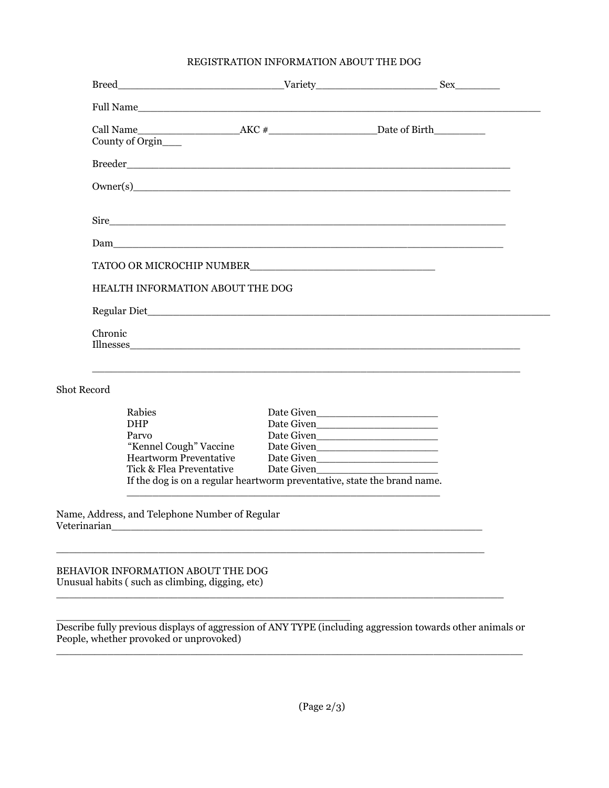### REGISTRATION INFORMATION ABOUT THE DOG

|                    | Full Name                                                                                            |                                                             |  |
|--------------------|------------------------------------------------------------------------------------------------------|-------------------------------------------------------------|--|
|                    |                                                                                                      |                                                             |  |
|                    | County of Orgin                                                                                      |                                                             |  |
|                    |                                                                                                      |                                                             |  |
|                    | Owner(s)                                                                                             |                                                             |  |
|                    |                                                                                                      |                                                             |  |
|                    |                                                                                                      |                                                             |  |
|                    |                                                                                                      |                                                             |  |
|                    | HEALTH INFORMATION ABOUT THE DOG                                                                     |                                                             |  |
|                    |                                                                                                      |                                                             |  |
|                    | Chronic                                                                                              |                                                             |  |
| <b>Shot Record</b> |                                                                                                      |                                                             |  |
|                    | Rabies                                                                                               |                                                             |  |
|                    | <b>DHP</b>                                                                                           |                                                             |  |
|                    | Parvo                                                                                                |                                                             |  |
|                    | "Kennel Cough" Vaccine                                                                               |                                                             |  |
|                    | <b>Heartworm Preventative</b>                                                                        |                                                             |  |
|                    | Tick & Flea Preventative<br>If the dog is on a regular heartworm preventative, state the brand name. |                                                             |  |
|                    |                                                                                                      | <u> 1989 - Johann Stoff, amerikansk politiker (d. 1989)</u> |  |
|                    | Name, Address, and Telephone Number of Regular                                                       |                                                             |  |
|                    |                                                                                                      |                                                             |  |
|                    | BEHAVIOR INFORMATION ABOUT THE DOG<br>Unusual habits (such as climbing, digging, etc)                |                                                             |  |
|                    |                                                                                                      |                                                             |  |

\_\_\_\_\_\_\_\_\_\_\_\_\_\_\_\_\_\_\_\_\_\_\_\_\_\_\_\_\_\_\_\_\_\_\_\_\_\_\_\_\_\_\_\_\_\_ Describe fully previous displays of aggression of ANY TYPE (including aggression towards other animals or People, whether provoked or unprovoked)  $\_$  ,  $\_$  ,  $\_$  ,  $\_$  ,  $\_$  ,  $\_$  ,  $\_$  ,  $\_$  ,  $\_$  ,  $\_$  ,  $\_$  ,  $\_$  ,  $\_$  ,  $\_$  ,  $\_$  ,  $\_$  ,  $\_$  ,  $\_$  ,  $\_$  ,  $\_$  ,  $\_$  ,  $\_$  ,  $\_$  ,  $\_$  ,  $\_$  ,  $\_$  ,  $\_$  ,  $\_$  ,  $\_$  ,  $\_$  ,  $\_$  ,  $\_$  ,  $\_$  ,  $\_$  ,  $\_$  ,  $\_$  ,  $\_$  ,